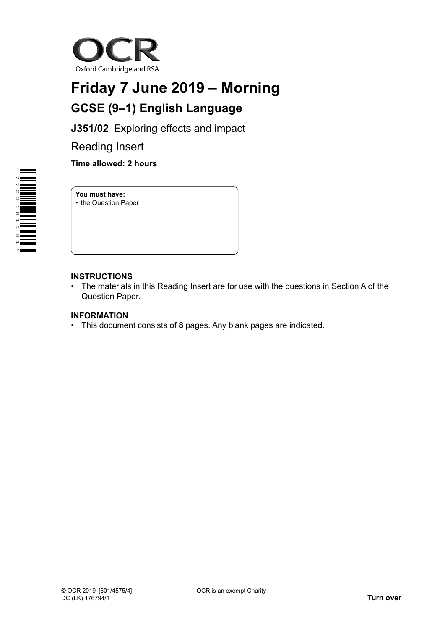

## **Friday 7 June 2019 – Morning GCSE (9–1) English Language**

**J351/02** Exploring effects and impact

Reading Insert

**Time allowed: 2 hours**

**You must have:** • the Question Paper

## **INSTRUCTIONS**

• The materials in this Reading Insert are for use with the questions in Section A of the Question Paper.

## **INFORMATION**

• This document consists of **8** pages. Any blank pages are indicated.